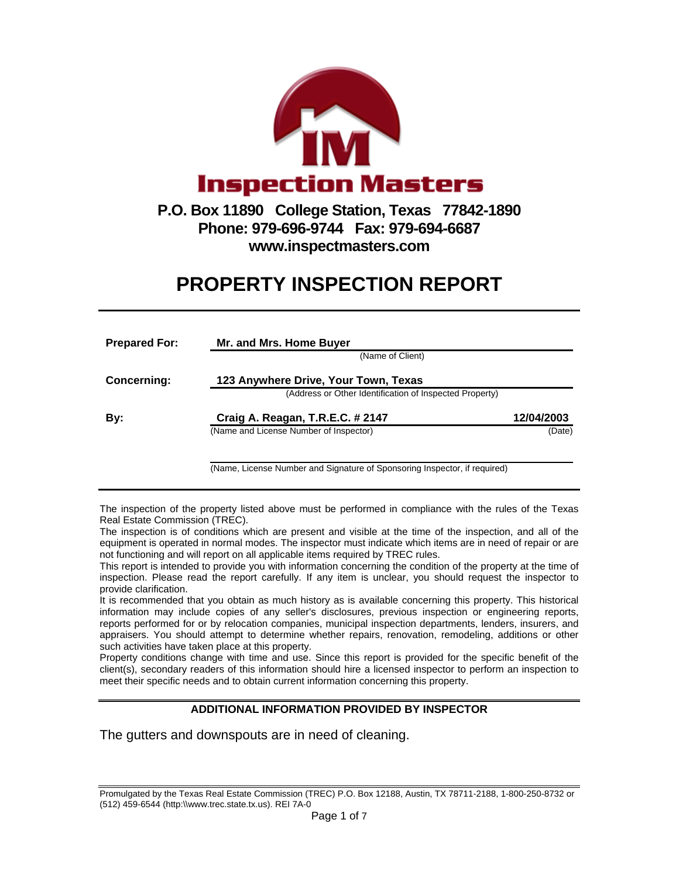

**www.inspectmasters.com** 

## **PROPERTY INSPECTION REPORT**

| <b>Prepared For:</b> | Mr. and Mrs. Home Buyer                                 |            |  |  |  |  |  |
|----------------------|---------------------------------------------------------|------------|--|--|--|--|--|
|                      | (Name of Client)                                        |            |  |  |  |  |  |
| Concerning:          | 123 Anywhere Drive, Your Town, Texas                    |            |  |  |  |  |  |
|                      | (Address or Other Identification of Inspected Property) |            |  |  |  |  |  |
| Bv:                  | Craig A. Reagan, T.R.E.C. # 2147                        | 12/04/2003 |  |  |  |  |  |
|                      | (Name and License Number of Inspector)                  | (Date)     |  |  |  |  |  |
|                      |                                                         |            |  |  |  |  |  |

(Name, License Number and Signature of Sponsoring Inspector, if required)

The inspection of the property listed above must be performed in compliance with the rules of the Texas Real Estate Commission (TREC).

The inspection is of conditions which are present and visible at the time of the inspection, and all of the equipment is operated in normal modes. The inspector must indicate which items are in need of repair or are not functioning and will report on all applicable items required by TREC rules.

This report is intended to provide you with information concerning the condition of the property at the time of inspection. Please read the report carefully. If any item is unclear, you should request the inspector to provide clarification.

It is recommended that you obtain as much history as is available concerning this property. This historical information may include copies of any seller's disclosures, previous inspection or engineering reports, reports performed for or by relocation companies, municipal inspection departments, lenders, insurers, and appraisers. You should attempt to determine whether repairs, renovation, remodeling, additions or other such activities have taken place at this property.

Property conditions change with time and use. Since this report is provided for the specific benefit of the client(s), secondary readers of this information should hire a licensed inspector to perform an inspection to meet their specific needs and to obtain current information concerning this property.

## **ADDITIONAL INFORMATION PROVIDED BY INSPECTOR**

The gutters and downspouts are in need of cleaning.

Promulgated by the Texas Real Estate Commission (TREC) P.O. Box 12188, Austin, TX 78711-2188, 1-800-250-8732 or (512) 459-6544 (http:\\www.trec.state.tx.us). REI 7A-0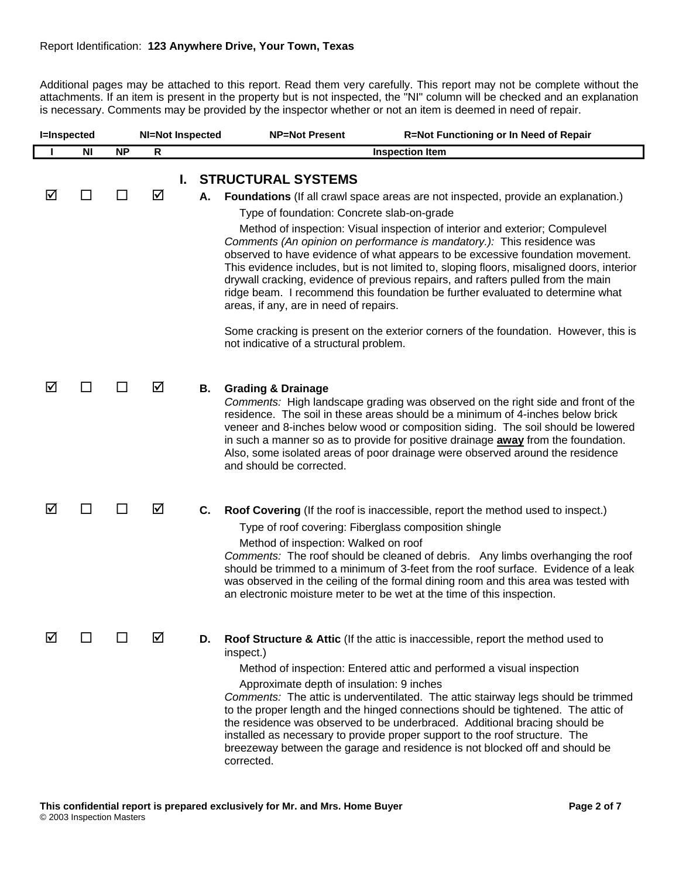Additional pages may be attached to this report. Read them very carefully. This report may not be complete without the attachments. If an item is present in the property but is not inspected, the "NI" column will be checked and an explanation is necessary. Comments may be provided by the inspector whether or not an item is deemed in need of repair.

| <b>I=Inspected</b> |           |           | <b>NI=Not Inspected</b> |    |    | <b>NP=Not Present</b><br>R=Not Functioning or In Need of Repair                                                                                                                                                                                                                                                                                                                                                                                                                                                                                                                                                                                                                                                                                                                                                                    |
|--------------------|-----------|-----------|-------------------------|----|----|------------------------------------------------------------------------------------------------------------------------------------------------------------------------------------------------------------------------------------------------------------------------------------------------------------------------------------------------------------------------------------------------------------------------------------------------------------------------------------------------------------------------------------------------------------------------------------------------------------------------------------------------------------------------------------------------------------------------------------------------------------------------------------------------------------------------------------|
|                    | <b>NI</b> | <b>NP</b> | R                       |    |    | <b>Inspection Item</b>                                                                                                                                                                                                                                                                                                                                                                                                                                                                                                                                                                                                                                                                                                                                                                                                             |
|                    |           |           |                         | L. |    | <b>STRUCTURAL SYSTEMS</b>                                                                                                                                                                                                                                                                                                                                                                                                                                                                                                                                                                                                                                                                                                                                                                                                          |
| ☑                  | H         |           | ☑                       |    | А. | <b>Foundations</b> (If all crawl space areas are not inspected, provide an explanation.)<br>Type of foundation: Concrete slab-on-grade<br>Method of inspection: Visual inspection of interior and exterior; Compulevel<br>Comments (An opinion on performance is mandatory.): This residence was<br>observed to have evidence of what appears to be excessive foundation movement.<br>This evidence includes, but is not limited to, sloping floors, misaligned doors, interior<br>drywall cracking, evidence of previous repairs, and rafters pulled from the main<br>ridge beam. I recommend this foundation be further evaluated to determine what<br>areas, if any, are in need of repairs.<br>Some cracking is present on the exterior corners of the foundation. However, this is<br>not indicative of a structural problem. |
| ☑                  | ⊔         |           | ☑                       |    | В. | <b>Grading &amp; Drainage</b><br>Comments: High landscape grading was observed on the right side and front of the<br>residence. The soil in these areas should be a minimum of 4-inches below brick<br>veneer and 8-inches below wood or composition siding. The soil should be lowered<br>in such a manner so as to provide for positive drainage <b>away</b> from the foundation.<br>Also, some isolated areas of poor drainage were observed around the residence<br>and should be corrected.                                                                                                                                                                                                                                                                                                                                   |
| ☑                  | ΙI        |           | ☑                       |    | C. | Roof Covering (If the roof is inaccessible, report the method used to inspect.)<br>Type of roof covering: Fiberglass composition shingle<br>Method of inspection: Walked on roof<br>Comments: The roof should be cleaned of debris. Any limbs overhanging the roof<br>should be trimmed to a minimum of 3-feet from the roof surface. Evidence of a leak<br>was observed in the ceiling of the formal dining room and this area was tested with<br>an electronic moisture meter to be wet at the time of this inspection.                                                                                                                                                                                                                                                                                                          |
| ☑                  |           |           | ☑                       |    | D. | Roof Structure & Attic (If the attic is inaccessible, report the method used to<br>inspect.)<br>Method of inspection: Entered attic and performed a visual inspection<br>Approximate depth of insulation: 9 inches<br>Comments: The attic is underventilated. The attic stairway legs should be trimmed<br>to the proper length and the hinged connections should be tightened. The attic of<br>the residence was observed to be underbraced. Additional bracing should be<br>installed as necessary to provide proper support to the roof structure. The<br>breezeway between the garage and residence is not blocked off and should be<br>corrected.                                                                                                                                                                             |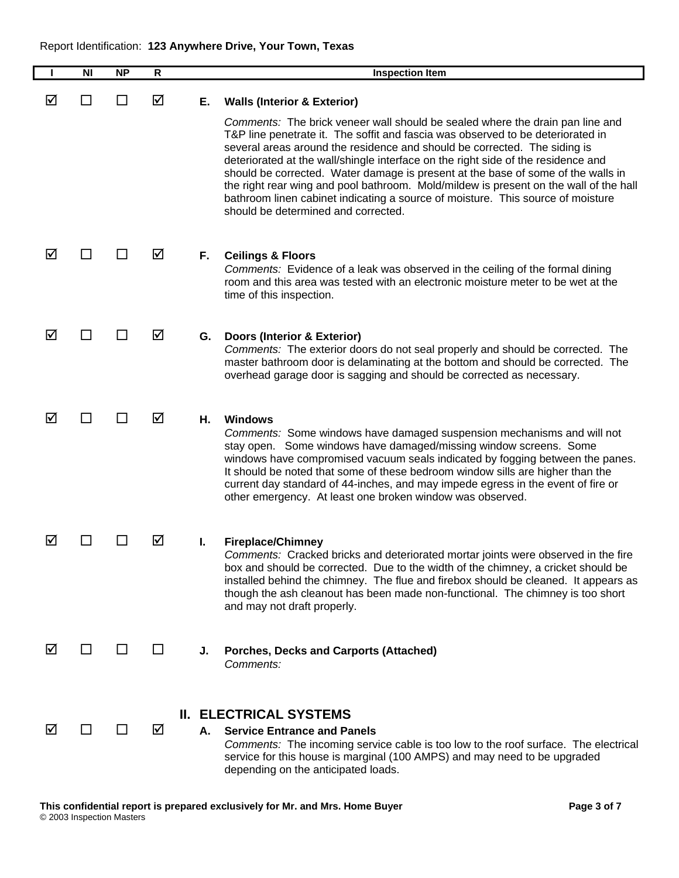|   | <b>NI</b> | <b>NP</b>    | $\mathsf{R}$ |    | <b>Inspection Item</b>                                                                                                                                                                                                                                                                                                                                                                                                                                                                                                                                                                                                                    |
|---|-----------|--------------|--------------|----|-------------------------------------------------------------------------------------------------------------------------------------------------------------------------------------------------------------------------------------------------------------------------------------------------------------------------------------------------------------------------------------------------------------------------------------------------------------------------------------------------------------------------------------------------------------------------------------------------------------------------------------------|
| ☑ |           | $\mathsf{L}$ | ☑            | Е. | <b>Walls (Interior &amp; Exterior)</b>                                                                                                                                                                                                                                                                                                                                                                                                                                                                                                                                                                                                    |
|   |           |              |              |    | Comments: The brick veneer wall should be sealed where the drain pan line and<br>T&P line penetrate it. The soffit and fascia was observed to be deteriorated in<br>several areas around the residence and should be corrected. The siding is<br>deteriorated at the wall/shingle interface on the right side of the residence and<br>should be corrected. Water damage is present at the base of some of the walls in<br>the right rear wing and pool bathroom. Mold/mildew is present on the wall of the hall<br>bathroom linen cabinet indicating a source of moisture. This source of moisture<br>should be determined and corrected. |
| ☑ |           |              | ☑            | F. | <b>Ceilings &amp; Floors</b><br>Comments: Evidence of a leak was observed in the ceiling of the formal dining<br>room and this area was tested with an electronic moisture meter to be wet at the<br>time of this inspection.                                                                                                                                                                                                                                                                                                                                                                                                             |
| ☑ |           |              | ☑            | G. | Doors (Interior & Exterior)<br>Comments: The exterior doors do not seal properly and should be corrected. The<br>master bathroom door is delaminating at the bottom and should be corrected. The<br>overhead garage door is sagging and should be corrected as necessary.                                                                                                                                                                                                                                                                                                                                                                 |
| ☑ |           |              | ☑            | Н. | <b>Windows</b><br>Comments: Some windows have damaged suspension mechanisms and will not<br>stay open. Some windows have damaged/missing window screens. Some<br>windows have compromised vacuum seals indicated by fogging between the panes.<br>It should be noted that some of these bedroom window sills are higher than the<br>current day standard of 44-inches, and may impede egress in the event of fire or<br>other emergency. At least one broken window was observed.                                                                                                                                                         |
| ☑ |           |              | ☑            | L. | <b>Fireplace/Chimney</b><br>Comments: Cracked bricks and deteriorated mortar joints were observed in the fire<br>box and should be corrected. Due to the width of the chimney, a cricket should be<br>installed behind the chimney. The flue and firebox should be cleaned. It appears as<br>though the ash cleanout has been made non-functional. The chimney is too short<br>and may not draft properly.                                                                                                                                                                                                                                |
| ☑ | ΙI        |              | $\mathsf{L}$ | J. | <b>Porches, Decks and Carports (Attached)</b><br>Comments:                                                                                                                                                                                                                                                                                                                                                                                                                                                                                                                                                                                |
|   |           |              |              | Ш. | <b>ELECTRICAL SYSTEMS</b>                                                                                                                                                                                                                                                                                                                                                                                                                                                                                                                                                                                                                 |
| ☑ | ΙI        |              | ☑            | А. | <b>Service Entrance and Panels</b><br>Comments: The incoming service cable is too low to the roof surface. The electrical<br>service for this house is marginal (100 AMPS) and may need to be upgraded<br>depending on the anticipated loads.                                                                                                                                                                                                                                                                                                                                                                                             |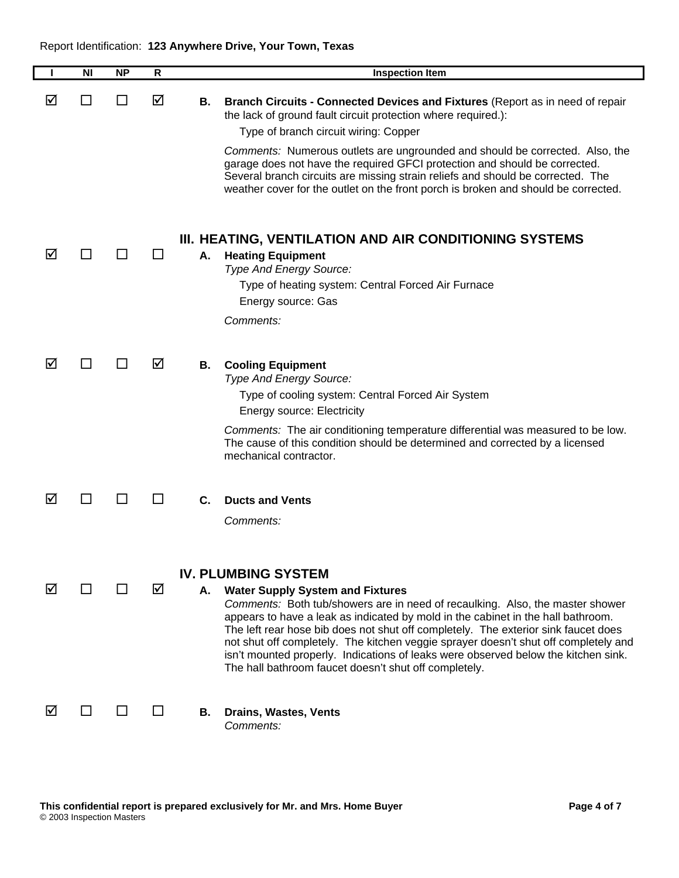|   | <b>NI</b>      | <b>NP</b> | R  |    | <b>Inspection Item</b>                                                                                                                                                                                                                                                                                                                                                                                                                                                                                                                                                 |
|---|----------------|-----------|----|----|------------------------------------------------------------------------------------------------------------------------------------------------------------------------------------------------------------------------------------------------------------------------------------------------------------------------------------------------------------------------------------------------------------------------------------------------------------------------------------------------------------------------------------------------------------------------|
| M |                |           | ☑  | В. | Branch Circuits - Connected Devices and Fixtures (Report as in need of repair<br>the lack of ground fault circuit protection where required.):<br>Type of branch circuit wiring: Copper<br>Comments: Numerous outlets are ungrounded and should be corrected. Also, the<br>garage does not have the required GFCI protection and should be corrected.<br>Several branch circuits are missing strain reliefs and should be corrected. The<br>weather cover for the outlet on the front porch is broken and should be corrected.                                         |
| ☑ |                |           |    | А. | III. HEATING, VENTILATION AND AIR CONDITIONING SYSTEMS<br><b>Heating Equipment</b><br>Type And Energy Source:<br>Type of heating system: Central Forced Air Furnace<br>Energy source: Gas<br>Comments:                                                                                                                                                                                                                                                                                                                                                                 |
| ⋈ |                |           | ☑  | В. | <b>Cooling Equipment</b><br>Type And Energy Source:<br>Type of cooling system: Central Forced Air System<br><b>Energy source: Electricity</b><br>Comments: The air conditioning temperature differential was measured to be low.<br>The cause of this condition should be determined and corrected by a licensed<br>mechanical contractor.                                                                                                                                                                                                                             |
| M |                |           | ΙI | C. | <b>Ducts and Vents</b><br>Comments:                                                                                                                                                                                                                                                                                                                                                                                                                                                                                                                                    |
| ☑ | H              |           | ☑  | А. | <b>IV. PLUMBING SYSTEM</b><br><b>Water Supply System and Fixtures</b><br>Comments: Both tub/showers are in need of recaulking. Also, the master shower<br>appears to have a leak as indicated by mold in the cabinet in the hall bathroom.<br>The left rear hose bib does not shut off completely. The exterior sink faucet does<br>not shut off completely. The kitchen veggie sprayer doesn't shut off completely and<br>isn't mounted properly. Indications of leaks were observed below the kitchen sink.<br>The hall bathroom faucet doesn't shut off completely. |
| ☑ | $\blacksquare$ |           | ΙI | В. | Drains, Wastes, Vents<br>Comments:                                                                                                                                                                                                                                                                                                                                                                                                                                                                                                                                     |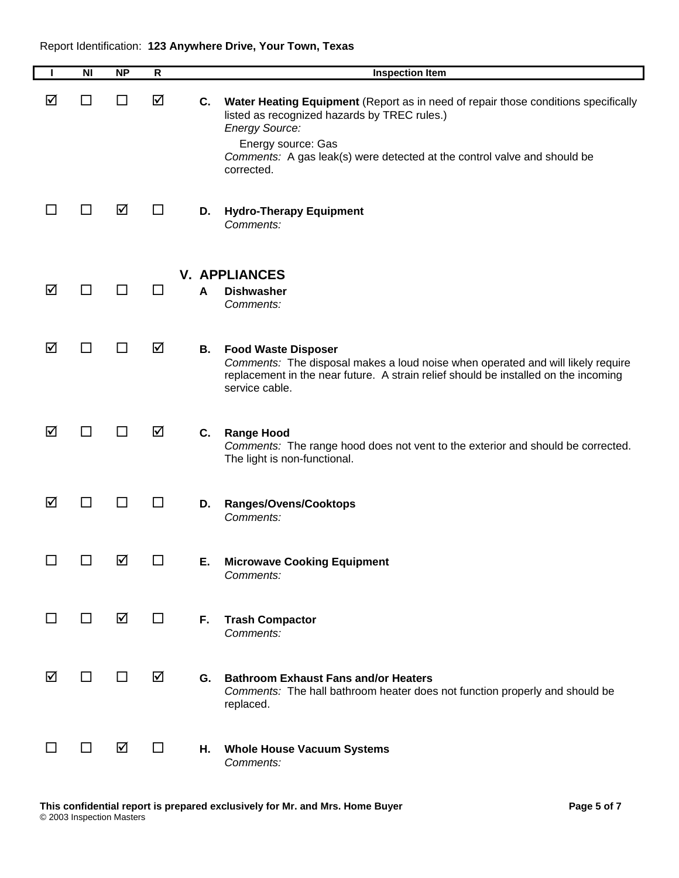|        | N <sub>l</sub> | <b>NP</b>    | $\mathsf{R}$ |    | <b>Inspection Item</b>                                                                                                                                                                                                                                                      |
|--------|----------------|--------------|--------------|----|-----------------------------------------------------------------------------------------------------------------------------------------------------------------------------------------------------------------------------------------------------------------------------|
| ☑      | $\Box$         | $\mathsf{L}$ | ☑            | C. | Water Heating Equipment (Report as in need of repair those conditions specifically<br>listed as recognized hazards by TREC rules.)<br><b>Energy Source:</b><br>Energy source: Gas<br>Comments: A gas leak(s) were detected at the control valve and should be<br>corrected. |
|        | ⊔              | ☑            | ⊔            | D. | <b>Hydro-Therapy Equipment</b><br>Comments:                                                                                                                                                                                                                                 |
| ☑      | □              | ΙI           | $\mathsf{L}$ | A  | <b>V. APPLIANCES</b><br><b>Dishwasher</b><br>Comments:                                                                                                                                                                                                                      |
| ☑      | $\blacksquare$ |              | ☑            | В. | <b>Food Waste Disposer</b><br>Comments: The disposal makes a loud noise when operated and will likely require<br>replacement in the near future. A strain relief should be installed on the incoming<br>service cable.                                                      |
| ☑      | $\Box$         | ΙI           | ☑            | C. | <b>Range Hood</b><br>Comments: The range hood does not vent to the exterior and should be corrected.<br>The light is non-functional.                                                                                                                                        |
| ☑      | □              | П            | $\Box$       | D. | <b>Ranges/Ovens/Cooktops</b><br>Comments:                                                                                                                                                                                                                                   |
|        | $\Box$         | ☑            | $\Box$       | Е. | <b>Microwave Cooking Equipment</b><br>Comments:                                                                                                                                                                                                                             |
| $\Box$ | □              | ☑            | $\Box$       | F. | <b>Trash Compactor</b><br>Comments:                                                                                                                                                                                                                                         |
| ☑      | $\Box$         | $\Box$       | ☑            | G. | <b>Bathroom Exhaust Fans and/or Heaters</b><br>Comments: The hall bathroom heater does not function properly and should be<br>replaced.                                                                                                                                     |
|        | □              | ☑            | □            | Η. | <b>Whole House Vacuum Systems</b><br>Comments:                                                                                                                                                                                                                              |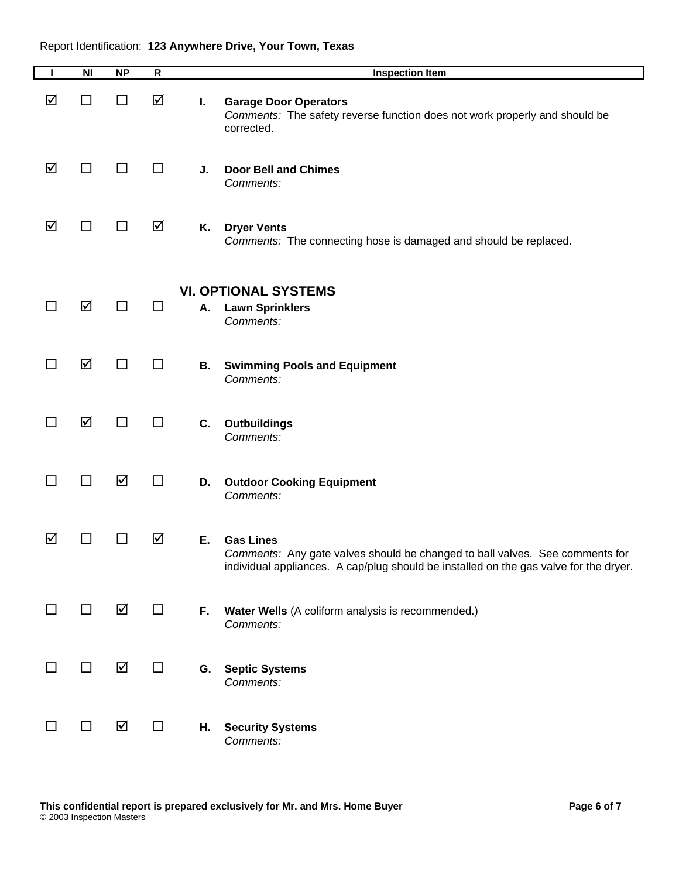| $\mathbf{I}$ | $\overline{\mathsf{N}}$ | NP | $\mathsf{R}$ |    | <b>Inspection Item</b>                                                                                                                                                                    |
|--------------|-------------------------|----|--------------|----|-------------------------------------------------------------------------------------------------------------------------------------------------------------------------------------------|
| ☑            | □                       | □  | ☑            | L. | <b>Garage Door Operators</b><br>Comments: The safety reverse function does not work properly and should be<br>corrected.                                                                  |
| ☑            | $\Box$                  | ΙI | ΙI           | J. | <b>Door Bell and Chimes</b><br>Comments:                                                                                                                                                  |
| ☑            | □                       | □  | ☑            | Κ. | <b>Dryer Vents</b><br>Comments: The connecting hose is damaged and should be replaced.                                                                                                    |
| $\Box$       | ☑                       | П  | ΙI           | А. | <b>VI. OPTIONAL SYSTEMS</b><br><b>Lawn Sprinklers</b><br>Comments:                                                                                                                        |
| □            | ☑                       | П  | ΙI           | В. | <b>Swimming Pools and Equipment</b><br>Comments:                                                                                                                                          |
| $\Box$       | ☑                       | П  | ΙI           | C. | <b>Outbuildings</b><br>Comments:                                                                                                                                                          |
| □            | □                       | ☑  | $\Box$       | D. | <b>Outdoor Cooking Equipment</b><br>Comments:                                                                                                                                             |
| ☑            | $\blacksquare$          | ΙI | ☑            | Ε. | <b>Gas Lines</b><br>Comments: Any gate valves should be changed to ball valves. See comments for<br>individual appliances. A cap/plug should be installed on the gas valve for the dryer. |
|              | $\Box$                  | ☑  | П            | F. | Water Wells (A coliform analysis is recommended.)<br>Comments:                                                                                                                            |
| ΙI           | □                       | ☑  | $\Box$       | G. | <b>Septic Systems</b><br>Comments:                                                                                                                                                        |
| ⊔            | □                       | ☑  | $\Box$       | Η. | <b>Security Systems</b><br>Comments:                                                                                                                                                      |